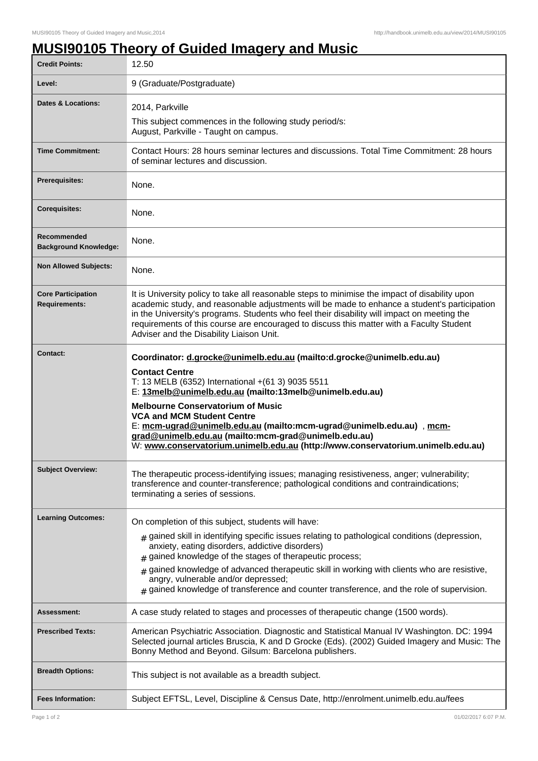## **MUSI90105 Theory of Guided Imagery and Music**

| <b>Credit Points:</b>                             | 12.50                                                                                                                                                                                                                                                                                                                                                                                                                                                                                                             |
|---------------------------------------------------|-------------------------------------------------------------------------------------------------------------------------------------------------------------------------------------------------------------------------------------------------------------------------------------------------------------------------------------------------------------------------------------------------------------------------------------------------------------------------------------------------------------------|
| Level:                                            | 9 (Graduate/Postgraduate)                                                                                                                                                                                                                                                                                                                                                                                                                                                                                         |
| Dates & Locations:                                | 2014, Parkville                                                                                                                                                                                                                                                                                                                                                                                                                                                                                                   |
|                                                   | This subject commences in the following study period/s:<br>August, Parkville - Taught on campus.                                                                                                                                                                                                                                                                                                                                                                                                                  |
| <b>Time Commitment:</b>                           | Contact Hours: 28 hours seminar lectures and discussions. Total Time Commitment: 28 hours<br>of seminar lectures and discussion.                                                                                                                                                                                                                                                                                                                                                                                  |
| Prerequisites:                                    | None.                                                                                                                                                                                                                                                                                                                                                                                                                                                                                                             |
| <b>Corequisites:</b>                              | None.                                                                                                                                                                                                                                                                                                                                                                                                                                                                                                             |
| Recommended<br><b>Background Knowledge:</b>       | None.                                                                                                                                                                                                                                                                                                                                                                                                                                                                                                             |
| <b>Non Allowed Subjects:</b>                      | None.                                                                                                                                                                                                                                                                                                                                                                                                                                                                                                             |
| <b>Core Participation</b><br><b>Requirements:</b> | It is University policy to take all reasonable steps to minimise the impact of disability upon<br>academic study, and reasonable adjustments will be made to enhance a student's participation<br>in the University's programs. Students who feel their disability will impact on meeting the<br>requirements of this course are encouraged to discuss this matter with a Faculty Student<br>Adviser and the Disability Liaison Unit.                                                                             |
| <b>Contact:</b>                                   | Coordinator: d.grocke@unimelb.edu.au (mailto:d.grocke@unimelb.edu.au)<br><b>Contact Centre</b><br>T: 13 MELB (6352) International +(61 3) 9035 5511<br>E: 13melb@unimelb.edu.au (mailto:13melb@unimelb.edu.au)<br><b>Melbourne Conservatorium of Music</b><br><b>VCA and MCM Student Centre</b><br>E: mcm-ugrad@unimelb.edu.au (mailto:mcm-ugrad@unimelb.edu.au), mcm-<br>grad@unimelb.edu.au (mailto:mcm-grad@unimelb.edu.au)<br>W: www.conservatorium.unimelb.edu.au (http://www.conservatorium.unimelb.edu.au) |
| <b>Subject Overview:</b>                          | The therapeutic process-identifying issues; managing resistiveness, anger; vulnerability;<br>transference and counter-transference; pathological conditions and contraindications;<br>terminating a series of sessions.                                                                                                                                                                                                                                                                                           |
| <b>Learning Outcomes:</b>                         | On completion of this subject, students will have:<br>$_{\#}$ gained skill in identifying specific issues relating to pathological conditions (depression,<br>anxiety, eating disorders, addictive disorders)<br>$#$ gained knowledge of the stages of therapeutic process;                                                                                                                                                                                                                                       |
|                                                   | gained knowledge of advanced therapeutic skill in working with clients who are resistive,<br>$\pm$<br>angry, vulnerable and/or depressed;<br>$_{\#}$ gained knowledge of transference and counter transference, and the role of supervision.                                                                                                                                                                                                                                                                      |
| Assessment:                                       | A case study related to stages and processes of therapeutic change (1500 words).                                                                                                                                                                                                                                                                                                                                                                                                                                  |
| <b>Prescribed Texts:</b>                          | American Psychiatric Association. Diagnostic and Statistical Manual IV Washington. DC: 1994<br>Selected journal articles Bruscia, K and D Grocke (Eds). (2002) Guided Imagery and Music: The<br>Bonny Method and Beyond. Gilsum: Barcelona publishers.                                                                                                                                                                                                                                                            |
| <b>Breadth Options:</b>                           | This subject is not available as a breadth subject.                                                                                                                                                                                                                                                                                                                                                                                                                                                               |
| <b>Fees Information:</b>                          | Subject EFTSL, Level, Discipline & Census Date, http://enrolment.unimelb.edu.au/fees                                                                                                                                                                                                                                                                                                                                                                                                                              |